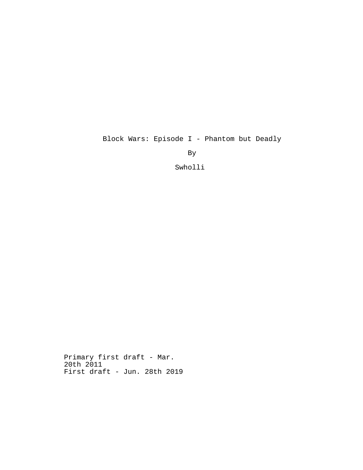Block Wars: Episode I - Phantom but Deadly

By

Swholli

Primary first draft - Mar. 20th 2011 First draft - Jun. 28th 2019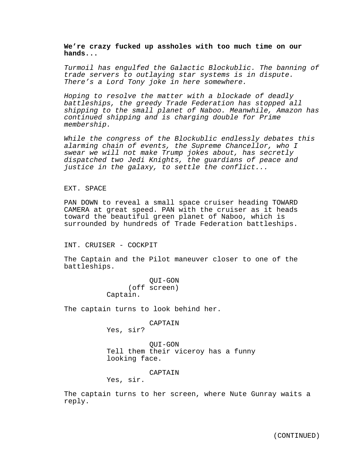# **We're crazy fucked up assholes with too much time on our hands...**

*Turmoil has engulfed the Galactic Blockublic. The banning of trade servers to outlaying star systems is in dispute. There's a Lord Tony joke in here somewhere.*

*Hoping to resolve the matter with a blockade of deadly battleships, the greedy Trade Federation has stopped all shipping to the small planet of Naboo. Meanwhile, Amazon has continued shipping and is charging double for Prime membership.*

*While the congress of the Blockublic endlessly debates this alarming chain of events, the Supreme Chancellor, who I swear we will not make Trump jokes about, has secretly dispatched two Jedi Knights, the guardians of peace and justice in the galaxy, to settle the conflict...*

#### EXT. SPACE

PAN DOWN to reveal a small space cruiser heading TOWARD CAMERA at great speed. PAN with the cruiser as it heads toward the beautiful green planet of Naboo, which is surrounded by hundreds of Trade Federation battleships.

INT. CRUISER - COCKPIT

The Captain and the Pilot maneuver closer to one of the battleships.

> QUI-GON (off screen) Captain.

The captain turns to look behind her.

# CAPTAIN

Yes, sir?

QUI-GON Tell them their viceroy has a funny looking face.

CAPTAIN

Yes, sir.

The captain turns to her screen, where Nute Gunray waits a reply.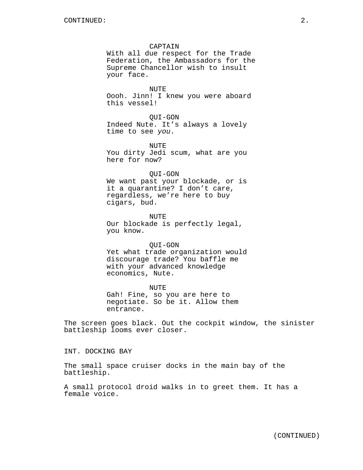### CAPTAIN

With all due respect for the Trade Federation, the Ambassadors for the Supreme Chancellor wish to insult your face.

NUTE Oooh. Jinn! I knew you were aboard this vessel!

QUI-GON

Indeed Nute. It's always a lovely time to see *you*.

NUTE You dirty Jedi scum, what are you here for now?

#### QUI-GON

We want past your blockade, or is it a quarantine? I don't care, regardless, we're here to buy cigars, bud.

NUTE Our blockade is perfectly legal, you know.

#### QUI-GON

Yet what trade organization would discourage trade? You baffle me with your advanced knowledge economics, Nute.

NUTE Gah! Fine, so you are here to negotiate. So be it. Allow them entrance.

The screen goes black. Out the cockpit window, the sinister battleship looms ever closer.

INT. DOCKING BAY

The small space cruiser docks in the main bay of the battleship.

A small protocol droid walks in to greet them. It has a female voice.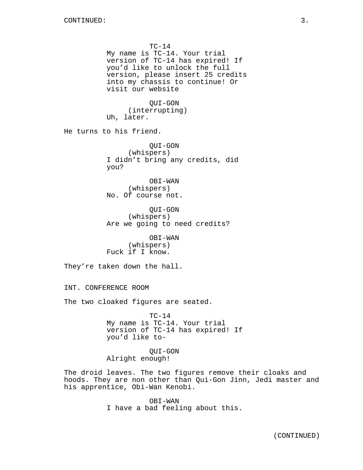$TC-14$ My name is TC-14. Your trial version of TC-14 has expired! If you'd like to unlock the full version, please insert 25 credits into my chassis to continue! Or visit our website QUI-GON (interrupting) Uh, later. He turns to his friend. QUI-GON (whispers) I didn't bring any credits, did you? OBI-WAN (whispers) No. Of course not. QUI-GON (whispers) Are we going to need credits? OBI-WAN (whispers) Fuck if I know. They're taken down the hall. INT. CONFERENCE ROOM The two cloaked figures are seated.  $TC-14$ My name is TC-14. Your trial version of TC-14 has expired! If you'd like to-QUI-GON Alright enough! The droid leaves. The two figures remove their cloaks and hoods. They are non other than Qui-Gon Jinn, Jedi master and

his apprentice, Obi-Wan Kenobi.

OBI-WAN I have a bad feeling about this.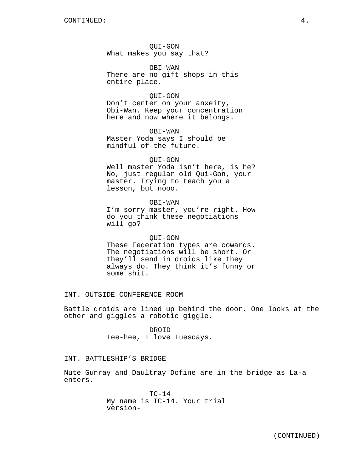QUI-GON What makes you say that?

OBI-WAN There are no gift shops in this entire place.

### QUI-GON

Don't center on your anxeity, Obi-Wan. Keep your concentration here and now where it belongs.

OBI-WAN Master Yoda says I should be mindful of the future.

#### QUI-GON

Well master Yoda isn't here, is he? No, just regular old Qui-Gon, your master. Trying to teach you a lesson, but nooo.

### OBI-WAN

I'm sorry master, you're right. How do you think these negotiations will go?

### QUI-GON

These Federation types are cowards. The negotiations will be short. Or they'll send in droids like they always do. They think it's funny or some shit.

INT. OUTSIDE CONFERENCE ROOM

Battle droids are lined up behind the door. One looks at the other and giggles a robotic giggle.

> DROID Tee-hee, I love Tuesdays.

### INT. BATTLESHIP'S BRIDGE

Nute Gunray and Daultray Dofine are in the bridge as La-a enters.

> $TC-14$ My name is TC-14. Your trial version-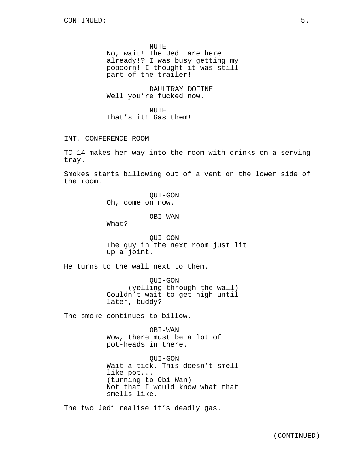NUTE No, wait! The Jedi are here already!? I was busy getting my popcorn! I thought it was still part of the trailer!

DAULTRAY DOFINE Well you're fucked now.

NUTE That's it! Gas them!

INT. CONFERENCE ROOM

TC-14 makes her way into the room with drinks on a serving tray.

Smokes starts billowing out of a vent on the lower side of the room.

> QUI-GON Oh, come on now.

> > OBI-WAN

What?

QUI-GON The guy in the next room just lit up a joint.

He turns to the wall next to them.

QUI-GON (yelling through the wall) Couldn't wait to get high until later, buddy?

The smoke continues to billow.

OBI-WAN Wow, there must be a lot of pot-heads in there.

QUI-GON Wait a tick. This doesn't smell like pot... (turning to Obi-Wan) Not that I would know what that smells like.

The two Jedi realise it's deadly gas.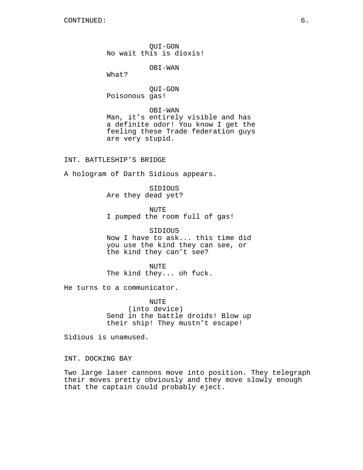CONTINUED: 6.

QUI-GON No wait this is dioxis!

OBI-WAN

What?

QUI-GON Poisonous gas!

OBI-WAN Man, it's entirely visible and has a definite odor! You know I get the feeling these Trade federation guys are very stupid.

INT. BATTLESHIP'S BRIDGE

A hologram of Darth Sidious appears.

SIDIOUS Are they dead yet?

NUTE I pumped the room full of gas!

SIDIOUS Now I have to ask... this time did you use the kind they can see, or the kind they can't see?

NUTE The kind they... oh fuck.

He turns to a communicator.

NUTE (into device) Send in the battle droids! Blow up their ship! They mustn't escape!

Sidious is unamused.

INT. DOCKING BAY

Two large laser cannons move into position. They telegraph their moves pretty obviously and they move slowly enough that the captain could probably eject.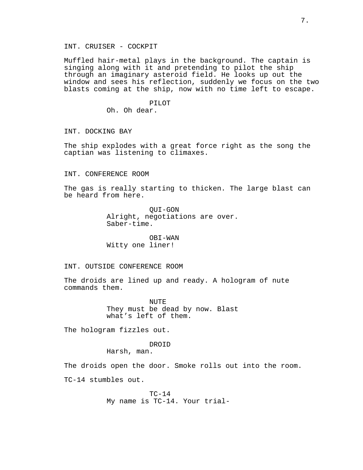### INT. CRUISER - COCKPIT

Muffled hair-metal plays in the background. The captain is singing along with it and pretending to pilot the ship through an imaginary asteroid field. He looks up out the window and sees his reflection, suddenly we focus on the two blasts coming at the ship, now with no time left to escape.

> PILOT Oh. Oh dear.

#### INT. DOCKING BAY

The ship explodes with a great force right as the song the captian was listening to climaxes.

#### INT. CONFERENCE ROOM

The gas is really starting to thicken. The large blast can be heard from here.

> QUI-GON Alright, negotiations are over. Saber-time.

OBI-WAN Witty one liner!

#### INT. OUTSIDE CONFERENCE ROOM

The droids are lined up and ready. A hologram of nute commands them.

> NUTE They must be dead by now. Blast what's left of them.

The hologram fizzles out.

#### DROID

Harsh, man.

The droids open the door. Smoke rolls out into the room. TC-14 stumbles out.

> $TC-14$ My name is TC-14. Your trial-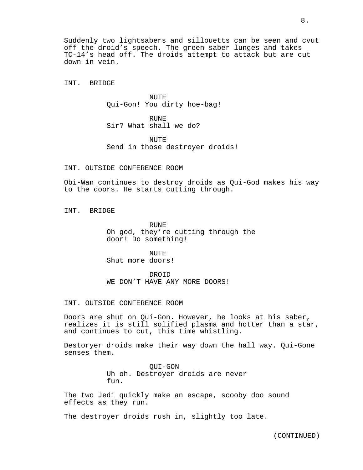Suddenly two lightsabers and sillouetts can be seen and cvut off the droid's speech. The green saber lunges and takes TC-14's head off. The droids attempt to attack but are cut down in vein.

INT. BRIDGE

NUTE Qui-Gon! You dirty hoe-bag!

RUNE Sir? What shall we do?

**NUTE** Send in those destroyer droids!

### INT. OUTSIDE CONFERENCE ROOM

Obi-Wan continues to destroy droids as Qui-God makes his way to the doors. He starts cutting through.

INT. BRIDGE

RUNE Oh god, they're cutting through the door! Do something!

NUTE Shut more doors!

DROID WE DON'T HAVE ANY MORE DOORS!

# INT. OUTSIDE CONFERENCE ROOM

Doors are shut on Qui-Gon. However, he looks at his saber, realizes it is still solified plasma and hotter than a star, and continues to cut, this time whistling.

Destoryer droids make their way down the hall way. Qui-Gone senses them.

> QUI-GON Uh oh. Destroyer droids are never fun.

The two Jedi quickly make an escape, scooby doo sound effects as they run.

The destroyer droids rush in, slightly too late.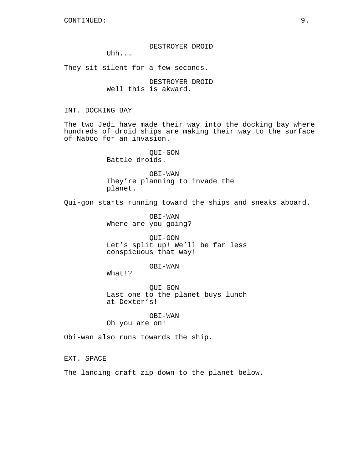DESTROYER DROID

Uhh...

They sit silent for a few seconds.

DESTROYER DROID Well this is akward.

INT. DOCKING BAY

The two Jedi have made their way into the docking bay where hundreds of droid ships are making their way to the surface of Naboo for an invasion.

> QUI-GON Battle droids.

OBI-WAN They're planning to invade the planet.

Qui-gon starts running toward the ships and sneaks aboard.

OBI-WAN Where are you going?

QUI-GON Let's split up! We'll be far less conspicuous that way!

OBI-WAN

What!?

QUI-GON Last one to the planet buys lunch at Dexter's!

OBI-WAN Oh you are on!

Obi-wan also runs towards the ship.

EXT. SPACE

The landing craft zip down to the planet below.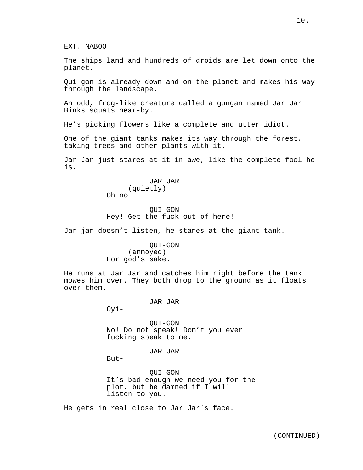EXT. NABOO

The ships land and hundreds of droids are let down onto the planet.

Qui-gon is already down and on the planet and makes his way through the landscape.

An odd, frog-like creature called a gungan named Jar Jar Binks squats near-by.

He's picking flowers like a complete and utter idiot.

One of the giant tanks makes its way through the forest, taking trees and other plants with it.

Jar Jar just stares at it in awe, like the complete fool he is.

### JAR JAR (quietly) Oh no.

QUI-GON Hey! Get the fuck out of here!

Jar jar doesn't listen, he stares at the giant tank.

QUI-GON (annoyed) For god's sake.

He runs at Jar Jar and catches him right before the tank mowes him over. They both drop to the ground as it floats over them.

#### JAR JAR

Oyi-

QUI-GON No! Do not speak! Don't you ever fucking speak to me.

JAR JAR

But-

QUI-GON It's bad enough we need you for the plot, but be damned if I will listen to you.

He gets in real close to Jar Jar's face.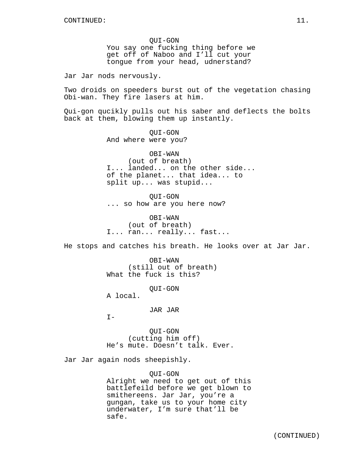QUI-GON You say one fucking thing before we get off of Naboo and I'll cut your tongue from your head, udnerstand?

Jar Jar nods nervously.

Two droids on speeders burst out of the vegetation chasing Obi-wan. They fire lasers at him.

Qui-gon qucikly pulls out his saber and deflects the bolts back at them, blowing them up instantly.

> QUI-GON And where were you?

OBI-WAN (out of breath) I... landed... on the other side... of the planet... that idea... to split up... was stupid...

QUI-GON ... so how are you here now?

OBI-WAN (out of breath) I... ran... really... fast...

He stops and catches his breath. He looks over at Jar Jar.

OBI-WAN (still out of breath) What the fuck is this?

QUI-GON

A local.

JAR JAR

 $I -$ 

QUI-GON (cutting him off) He's mute. Doesn't talk. Ever.

Jar Jar again nods sheepishly.

QUI-GON Alright we need to get out of this battlefeild before we get blown to smithereens. Jar Jar, you're a gungan, take us to your home city underwater, I'm sure that'll be safe.

(CONTINUED)